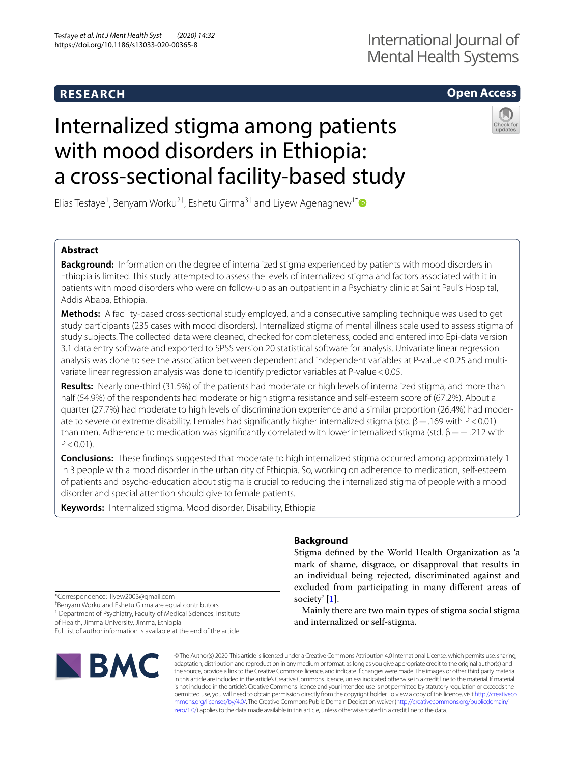## **RESEARCH**

## International Journal of Mental Health Systems

## **Open Access**

# Internalized stigma among patients with mood disorders in Ethiopia: a cross-sectional facility-based study



Elias Tesfaye<sup>1</sup>, Benyam Worku<sup>2†</sup>, Eshetu Girma<sup>3†</sup> and Liyew Agenagnew<sup>1[\\*](http://orcid.org/0000-0002-4181-1489)</sup>

### **Abstract**

**Background:** Information on the degree of internalized stigma experienced by patients with mood disorders in Ethiopia is limited. This study attempted to assess the levels of internalized stigma and factors associated with it in patients with mood disorders who were on follow-up as an outpatient in a Psychiatry clinic at Saint Paul's Hospital, Addis Ababa, Ethiopia.

**Methods:** A facility-based cross-sectional study employed, and a consecutive sampling technique was used to get study participants (235 cases with mood disorders). Internalized stigma of mental illness scale used to assess stigma of study subjects. The collected data were cleaned, checked for completeness, coded and entered into Epi-data version 3.1 data entry software and exported to SPSS version 20 statistical software for analysis. Univariate linear regression analysis was done to see the association between dependent and independent variables at P-value <0.25 and multivariate linear regression analysis was done to identify predictor variables at P-value < 0.05.

**Results:** Nearly one-third (31.5%) of the patients had moderate or high levels of internalized stigma, and more than half (54.9%) of the respondents had moderate or high stigma resistance and self-esteem score of (67.2%). About a quarter (27.7%) had moderate to high levels of discrimination experience and a similar proportion (26.4%) had moderate to severe or extreme disability. Females had signifcantly higher internalized stigma (std. β=.169 with P<0.01) than men. Adherence to medication was significantly correlated with lower internalized stigma (std. β = - .212 with  $P < 0.01$ ).

**Conclusions:** These fndings suggested that moderate to high internalized stigma occurred among approximately 1 in 3 people with a mood disorder in the urban city of Ethiopia. So, working on adherence to medication, self-esteem of patients and psycho-education about stigma is crucial to reducing the internalized stigma of people with a mood disorder and special attention should give to female patients.

**Keywords:** Internalized stigma, Mood disorder, Disability, Ethiopia

## **Background**

Stigma defned by the World Health Organization as 'a mark of shame, disgrace, or disapproval that results in an individual being rejected, discriminated against and excluded from participating in many diferent areas of society' [\[1\]](#page-8-0).

Mainly there are two main types of stigma social stigma and internalized or self-stigma.

\*Correspondence: liyew2003@gmail.com

† Benyam Worku and Eshetu Girma are equal contributors

<sup>1</sup> Department of Psychiatry, Faculty of Medical Sciences, Institute

of Health, Jimma University, Jimma, Ethiopia

Full list of author information is available at the end of the article



© The Author(s) 2020. This article is licensed under a Creative Commons Attribution 4.0 International License, which permits use, sharing, adaptation, distribution and reproduction in any medium or format, as long as you give appropriate credit to the original author(s) and the source, provide a link to the Creative Commons licence, and indicate if changes were made. The images or other third party material in this article are included in the article's Creative Commons licence, unless indicated otherwise in a credit line to the material. If material is not included in the article's Creative Commons licence and your intended use is not permitted by statutory regulation or exceeds the permitted use, you will need to obtain permission directly from the copyright holder. To view a copy of this licence, visit [http://creativeco](http://creativecommons.org/licenses/by/4.0/) [mmons.org/licenses/by/4.0/.](http://creativecommons.org/licenses/by/4.0/) The Creative Commons Public Domain Dedication waiver ([http://creativecommons.org/publicdomain/](http://creativecommons.org/publicdomain/zero/1.0/) [zero/1.0/\)](http://creativecommons.org/publicdomain/zero/1.0/) applies to the data made available in this article, unless otherwise stated in a credit line to the data.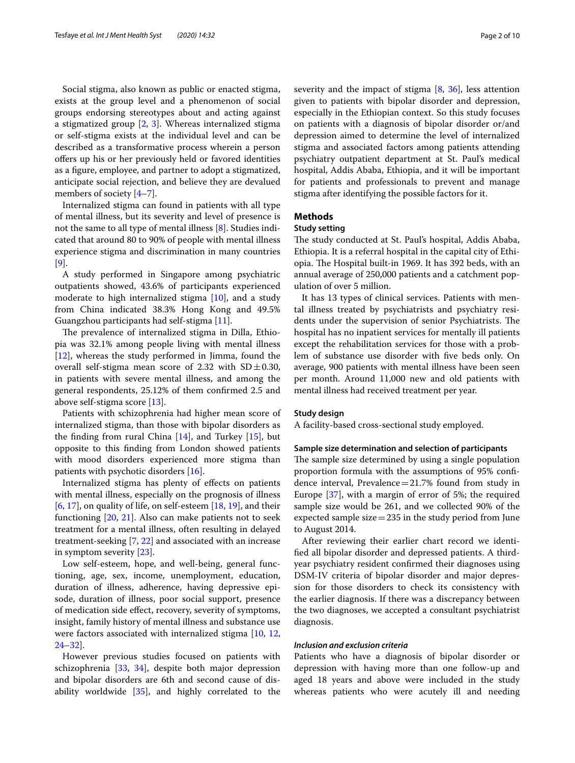Social stigma, also known as public or enacted stigma, exists at the group level and a phenomenon of social groups endorsing stereotypes about and acting against a stigmatized group [\[2](#page-8-1), [3](#page-8-2)]. Whereas internalized stigma or self-stigma exists at the individual level and can be described as a transformative process wherein a person ofers up his or her previously held or favored identities as a fgure, employee, and partner to adopt a stigmatized, anticipate social rejection, and believe they are devalued members of society [[4](#page-8-3)[–7](#page-8-4)].

Internalized stigma can found in patients with all type of mental illness, but its severity and level of presence is not the same to all type of mental illness [\[8](#page-8-5)]. Studies indicated that around 80 to 90% of people with mental illness experience stigma and discrimination in many countries [[9\]](#page-8-6).

A study performed in Singapore among psychiatric outpatients showed, 43.6% of participants experienced moderate to high internalized stigma [[10](#page-8-7)], and a study from China indicated 38.3% Hong Kong and 49.5% Guangzhou participants had self-stigma [[11](#page-8-8)].

The prevalence of internalized stigma in Dilla, Ethiopia was 32.1% among people living with mental illness [[12\]](#page-8-9), whereas the study performed in Jimma, found the overall self-stigma mean score of 2.32 with  $SD \pm 0.30$ , in patients with severe mental illness, and among the general respondents, 25.12% of them confrmed 2.5 and above self-stigma score [[13\]](#page-8-10).

Patients with schizophrenia had higher mean score of internalized stigma, than those with bipolar disorders as the fnding from rural China [[14\]](#page-8-11), and Turkey [[15\]](#page-8-12), but opposite to this fnding from London showed patients with mood disorders experienced more stigma than patients with psychotic disorders [[16\]](#page-8-13).

Internalized stigma has plenty of efects on patients with mental illness, especially on the prognosis of illness  $[6, 17]$  $[6, 17]$  $[6, 17]$  $[6, 17]$ , on quality of life, on self-esteem  $[18, 19]$  $[18, 19]$  $[18, 19]$ , and their functioning [[20](#page-8-18), [21\]](#page-8-19). Also can make patients not to seek treatment for a mental illness, often resulting in delayed treatment-seeking [[7,](#page-8-4) [22](#page-8-20)] and associated with an increase in symptom severity [\[23\]](#page-8-21).

Low self-esteem, hope, and well-being, general functioning, age, sex, income, unemployment, education, duration of illness, adherence, having depressive episode, duration of illness, poor social support, presence of medication side efect, recovery, severity of symptoms, insight, family history of mental illness and substance use were factors associated with internalized stigma [\[10](#page-8-7), [12](#page-8-9), [24–](#page-8-22)[32](#page-9-0)].

However previous studies focused on patients with schizophrenia [\[33,](#page-9-1) [34](#page-9-2)], despite both major depression and bipolar disorders are 6th and second cause of disability worldwide  $[35]$  $[35]$  $[35]$ , and highly correlated to the severity and the impact of stigma [\[8](#page-8-5), [36](#page-9-4)], less attention given to patients with bipolar disorder and depression, especially in the Ethiopian context. So this study focuses on patients with a diagnosis of bipolar disorder or/and depression aimed to determine the level of internalized stigma and associated factors among patients attending psychiatry outpatient department at St. Paul's medical hospital, Addis Ababa, Ethiopia, and it will be important for patients and professionals to prevent and manage stigma after identifying the possible factors for it.

#### **Methods**

#### **Study setting**

The study conducted at St. Paul's hospital, Addis Ababa, Ethiopia. It is a referral hospital in the capital city of Ethiopia. The Hospital built-in 1969. It has 392 beds, with an annual average of 250,000 patients and a catchment population of over 5 million.

It has 13 types of clinical services. Patients with mental illness treated by psychiatrists and psychiatry residents under the supervision of senior Psychiatrists. The hospital has no inpatient services for mentally ill patients except the rehabilitation services for those with a problem of substance use disorder with fve beds only. On average, 900 patients with mental illness have been seen per month. Around 11,000 new and old patients with mental illness had received treatment per year.

#### **Study design**

A facility-based cross-sectional study employed.

#### **Sample size determination and selection of participants**

The sample size determined by using a single population proportion formula with the assumptions of 95% confdence interval, Prevalence=21.7% found from study in Europe [[37\]](#page-9-5), with a margin of error of 5%; the required sample size would be 261, and we collected 90% of the expected sample size $=235$  in the study period from June to August 2014.

After reviewing their earlier chart record we identifed all bipolar disorder and depressed patients. A thirdyear psychiatry resident confrmed their diagnoses using DSM-IV criteria of bipolar disorder and major depression for those disorders to check its consistency with the earlier diagnosis. If there was a discrepancy between the two diagnoses, we accepted a consultant psychiatrist diagnosis.

#### *Inclusion and exclusion criteria*

Patients who have a diagnosis of bipolar disorder or depression with having more than one follow-up and aged 18 years and above were included in the study whereas patients who were acutely ill and needing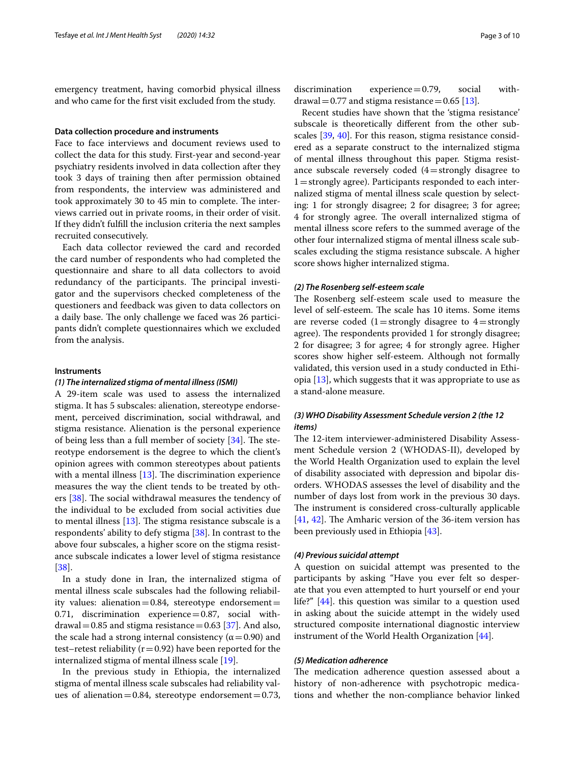emergency treatment, having comorbid physical illness and who came for the frst visit excluded from the study.

#### **Data collection procedure and instruments**

Face to face interviews and document reviews used to collect the data for this study. First-year and second-year psychiatry residents involved in data collection after they took 3 days of training then after permission obtained from respondents, the interview was administered and took approximately 30 to 45 min to complete. The interviews carried out in private rooms, in their order of visit. If they didn't fulfll the inclusion criteria the next samples recruited consecutively.

Each data collector reviewed the card and recorded the card number of respondents who had completed the questionnaire and share to all data collectors to avoid redundancy of the participants. The principal investigator and the supervisors checked completeness of the questioners and feedback was given to data collectors on a daily base. The only challenge we faced was 26 participants didn't complete questionnaires which we excluded from the analysis.

#### **Instruments**

#### *(1) The internalized stigma of mental illness (ISMI)*

A 29-item scale was used to assess the internalized stigma. It has 5 subscales: alienation, stereotype endorsement, perceived discrimination, social withdrawal, and stigma resistance. Alienation is the personal experience of being less than a full member of society  $[34]$ . The stereotype endorsement is the degree to which the client's opinion agrees with common stereotypes about patients with a mental illness  $[13]$  $[13]$ . The discrimination experience measures the way the client tends to be treated by oth-ers [[38](#page-9-6)]. The social withdrawal measures the tendency of the individual to be excluded from social activities due to mental illness  $[13]$  $[13]$ . The stigma resistance subscale is a respondents' ability to defy stigma [\[38](#page-9-6)]. In contrast to the above four subscales, a higher score on the stigma resistance subscale indicates a lower level of stigma resistance [[38\]](#page-9-6).

In a study done in Iran, the internalized stigma of mental illness scale subscales had the following reliability values: alienation=0.84, stereotype endorsement= 0.71, discrimination experience $=$  0.87, social with-drawal = 0.85 and stigma resistance = 0.63 [\[37](#page-9-5)]. And also, the scale had a strong internal consistency ( $\alpha$  = 0.90) and test–retest reliability ( $r=0.92$ ) have been reported for the internalized stigma of mental illness scale [\[19](#page-8-17)].

In the previous study in Ethiopia, the internalized stigma of mental illness scale subscales had reliability values of alienation=0.84, stereotype endorsement=0.73, discrimination experience=0.79, social withdrawal = 0.77 and stigma resistance =  $0.65$  [[13](#page-8-10)].

Recent studies have shown that the 'stigma resistance' subscale is theoretically diferent from the other subscales [[39](#page-9-7), [40](#page-9-8)]. For this reason, stigma resistance considered as a separate construct to the internalized stigma of mental illness throughout this paper. Stigma resistance subscale reversely coded  $(4=$ strongly disagree to  $1 =$ strongly agree). Participants responded to each internalized stigma of mental illness scale question by selecting: 1 for strongly disagree; 2 for disagree; 3 for agree; 4 for strongly agree. The overall internalized stigma of mental illness score refers to the summed average of the other four internalized stigma of mental illness scale subscales excluding the stigma resistance subscale. A higher score shows higher internalized stigma.

#### *(2) The Rosenberg self‑esteem scale*

The Rosenberg self-esteem scale used to measure the level of self-esteem. The scale has 10 items. Some items are reverse coded  $(1=$ strongly disagree to  $4=$ strongly agree). The respondents provided 1 for strongly disagree; 2 for disagree; 3 for agree; 4 for strongly agree. Higher scores show higher self-esteem. Although not formally validated, this version used in a study conducted in Ethiopia [[13\]](#page-8-10), which suggests that it was appropriate to use as a stand-alone measure.

#### *(3) WHO Disability Assessment Schedule version 2 (the 12 items)*

The 12-item interviewer-administered Disability Assessment Schedule version 2 (WHODAS-II), developed by the World Health Organization used to explain the level of disability associated with depression and bipolar disorders. WHODAS assesses the level of disability and the number of days lost from work in the previous 30 days. The instrument is considered cross-culturally applicable  $[41, 42]$  $[41, 42]$  $[41, 42]$  $[41, 42]$ . The Amharic version of the 36-item version has been previously used in Ethiopia [[43\]](#page-9-11).

#### *(4) Previous suicidal attempt*

A question on suicidal attempt was presented to the participants by asking "Have you ever felt so desperate that you even attempted to hurt yourself or end your life?" [[44\]](#page-9-12). this question was similar to a question used in asking about the suicide attempt in the widely used structured composite international diagnostic interview instrument of the World Health Organization [\[44](#page-9-12)].

#### *(5) Medication adherence*

The medication adherence question assessed about a history of non-adherence with psychotropic medications and whether the non-compliance behavior linked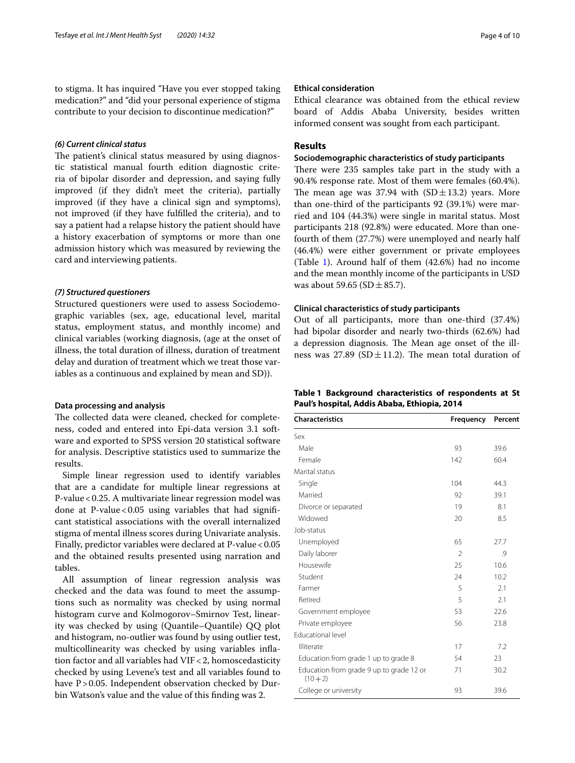to stigma. It has inquired "Have you ever stopped taking medication?" and "did your personal experience of stigma contribute to your decision to discontinue medication?"

#### *(6) Current clinical status*

The patient's clinical status measured by using diagnostic statistical manual fourth edition diagnostic criteria of bipolar disorder and depression, and saying fully improved (if they didn't meet the criteria), partially improved (if they have a clinical sign and symptoms), not improved (if they have fulflled the criteria), and to say a patient had a relapse history the patient should have a history exacerbation of symptoms or more than one admission history which was measured by reviewing the card and interviewing patients.

#### *(7) Structured questioners*

Structured questioners were used to assess Sociodemographic variables (sex, age, educational level, marital status, employment status, and monthly income) and clinical variables (working diagnosis, (age at the onset of illness, the total duration of illness, duration of treatment delay and duration of treatment which we treat those variables as a continuous and explained by mean and SD)).

#### **Data processing and analysis**

The collected data were cleaned, checked for completeness, coded and entered into Epi-data version 3.1 software and exported to SPSS version 20 statistical software for analysis. Descriptive statistics used to summarize the results.

Simple linear regression used to identify variables that are a candidate for multiple linear regressions at P-value<0.25. A multivariate linear regression model was done at P-value <  $0.05$  using variables that had significant statistical associations with the overall internalized stigma of mental illness scores during Univariate analysis. Finally, predictor variables were declared at  $P$ -value < 0.05 and the obtained results presented using narration and tables.

All assumption of linear regression analysis was checked and the data was found to meet the assumptions such as normality was checked by using normal histogram curve and Kolmogorov–Smirnov Test, linearity was checked by using (Quantile–Quantile) QQ plot and histogram, no-outlier was found by using outlier test, multicollinearity was checked by using variables infation factor and all variables had VIF<2, homoscedasticity checked by using Levene's test and all variables found to have P > 0.05. Independent observation checked by Durbin Watson's value and the value of this fnding was 2.

#### **Ethical consideration**

Ethical clearance was obtained from the ethical review board of Addis Ababa University, besides written informed consent was sought from each participant.

#### **Results**

#### **Sociodemographic characteristics of study participants**

There were 235 samples take part in the study with a 90.4% response rate. Most of them were females (60.4%). The mean age was 37.94 with  $(SD \pm 13.2)$  years. More than one-third of the participants 92 (39.1%) were married and 104 (44.3%) were single in marital status. Most participants 218 (92.8%) were educated. More than onefourth of them (27.7%) were unemployed and nearly half (46.4%) were either government or private employees (Table [1](#page-3-0)). Around half of them (42.6%) had no income and the mean monthly income of the participants in USD was about 59.65 (SD  $\pm$  85.7).

#### **Clinical characteristics of study participants**

Out of all participants, more than one-third (37.4%) had bipolar disorder and nearly two-thirds (62.6%) had a depression diagnosis. The Mean age onset of the illness was 27.89 (SD $\pm$ 11.2). The mean total duration of

<span id="page-3-0"></span>

|  | Table 1 Background characteristics of respondents at St |  |  |
|--|---------------------------------------------------------|--|--|
|  | Paul's hospital, Addis Ababa, Ethiopia, 2014            |  |  |

| <b>Characteristics</b>                                 | Frequency     | Percent |  |
|--------------------------------------------------------|---------------|---------|--|
| Sex                                                    |               |         |  |
| Male                                                   | 93            | 39.6    |  |
| Female                                                 | 142           | 60.4    |  |
| Marital status                                         |               |         |  |
| Single                                                 | 104           | 44.3    |  |
| Married                                                | 92            | 39.1    |  |
| Divorce or separated                                   | 19            | 8.1     |  |
| Widowed                                                | 20            | 8.5     |  |
| Job-status                                             |               |         |  |
| Unemployed                                             | 65            | 27.7    |  |
| Daily laborer                                          | $\mathcal{P}$ | .9      |  |
| Housewife                                              | 25            | 10.6    |  |
| Student                                                | 24            | 10.2    |  |
| Farmer                                                 | 5             | 2.1     |  |
| Retired                                                | 5             | 2.1     |  |
| Government employee                                    | 53            | 22.6    |  |
| Private employee                                       | 56            | 23.8    |  |
| Educational level                                      |               |         |  |
| Illiterate                                             | 17            | 7.2     |  |
| Education from grade 1 up to grade 8                   | 54            | 23      |  |
| Education from grade 9 up to grade 12 or<br>$(10 + 2)$ | 71            | 30.2    |  |
| College or university                                  | 93            | 39.6    |  |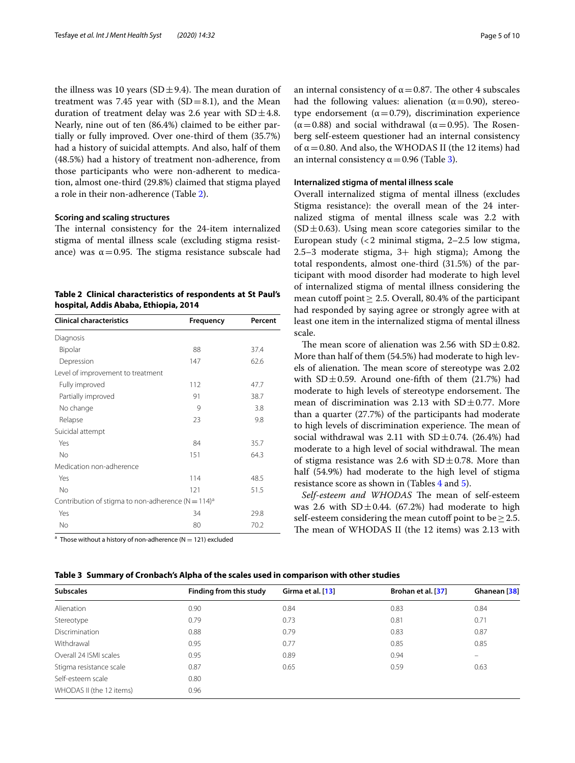the illness was 10 years (SD $\pm$ 9.4). The mean duration of treatment was 7.45 year with  $(SD=8.1)$ , and the Mean duration of treatment delay was 2.6 year with  $SD \pm 4.8$ . Nearly, nine out of ten (86.4%) claimed to be either partially or fully improved. Over one-third of them (35.7%) had a history of suicidal attempts. And also, half of them (48.5%) had a history of treatment non-adherence, from those participants who were non-adherent to medication, almost one-third (29.8%) claimed that stigma played a role in their non-adherence (Table [2](#page-4-0)).

#### **Scoring and scaling structures**

The internal consistency for the 24-item internalized stigma of mental illness scale (excluding stigma resistance) was  $\alpha$  = 0.95. The stigma resistance subscale had

<span id="page-4-0"></span>**Table 2 Clinical characteristics of respondents at St Paul's hospital, Addis Ababa, Ethiopia, 2014**

| <b>Clinical characteristics</b>                                    | Frequency | Percent |
|--------------------------------------------------------------------|-----------|---------|
| Diagnosis                                                          |           |         |
| Bipolar                                                            | 88        | 37.4    |
| Depression                                                         | 147       | 62.6    |
| Level of improvement to treatment                                  |           |         |
| Fully improved                                                     | 112       | 47.7    |
| Partially improved                                                 | 91        | 38.7    |
| No change                                                          | 9         | 3.8     |
| Relapse                                                            | 23        | 9.8     |
| Suicidal attempt                                                   |           |         |
| Yes                                                                | 84        | 35.7    |
| No                                                                 | 151       | 64.3    |
| Medication non-adherence                                           |           |         |
| Yes                                                                | 114       | 48.5    |
| No                                                                 | 121       | 51.5    |
| Contribution of stigma to non-adherence ( $N = 114$ ) <sup>a</sup> |           |         |
| Yes                                                                | 34        | 29.8    |
| No                                                                 | 80        | 70.2    |

<sup>a</sup> Those without a history of non-adherence ( $N = 121$ ) excluded

an internal consistency of  $\alpha$  = 0.87. The other 4 subscales had the following values: alienation ( $α = 0.90$ ), stereotype endorsement ( $α = 0.79$ ), discrimination experience  $(α=0.88)$  and social withdrawal  $(α=0.95)$ . The Rosenberg self-esteem questioner had an internal consistency of  $\alpha$  = 0.80. And also, the WHODAS II (the 12 items) had an internal consistency  $α = 0.96$  (Table [3\)](#page-4-1).

#### **Internalized stigma of mental illness scale**

Overall internalized stigma of mental illness (excludes Stigma resistance): the overall mean of the 24 internalized stigma of mental illness scale was 2.2 with  $(SD \pm 0.63)$ . Using mean score categories similar to the European study (<2 minimal stigma, 2–2.5 low stigma, 2.5–3 moderate stigma, 3+ high stigma); Among the total respondents, almost one-third (31.5%) of the participant with mood disorder had moderate to high level of internalized stigma of mental illness considering the mean cutoff point  $\geq 2.5$ . Overall, 80.4% of the participant had responded by saying agree or strongly agree with at least one item in the internalized stigma of mental illness scale.

The mean score of alienation was 2.56 with  $SD \pm 0.82$ . More than half of them (54.5%) had moderate to high levels of alienation. The mean score of stereotype was 2.02 with SD $\pm$ 0.59. Around one-fifth of them (21.7%) had moderate to high levels of stereotype endorsement. The mean of discrimination was 2.13 with  $SD \pm 0.77$ . More than a quarter (27.7%) of the participants had moderate to high levels of discrimination experience. The mean of social withdrawal was 2.11 with  $SD \pm 0.74$ . (26.4%) had moderate to a high level of social withdrawal. The mean of stigma resistance was 2.6 with  $SD \pm 0.78$ . More than half (54.9%) had moderate to the high level of stigma resistance score as shown in (Tables [4](#page-5-0) and [5\)](#page-5-1).

*Self-esteem and WHODAS* The mean of self-esteem was 2.6 with  $SD \pm 0.44$ . (67.2%) had moderate to high self-esteem considering the mean cutoff point to be  $> 2.5$ . The mean of WHODAS II (the 12 items) was 2.13 with

<span id="page-4-1"></span>

|  |  | Table 3 Summary of Cronbach's Alpha of the scales used in comparison with other studies |  |  |  |
|--|--|-----------------------------------------------------------------------------------------|--|--|--|
|--|--|-----------------------------------------------------------------------------------------|--|--|--|

| <b>Subscales</b>         | Finding from this study | Girma et al. [13] | Brohan et al. [37] | Ghanean [38]             |
|--------------------------|-------------------------|-------------------|--------------------|--------------------------|
| Alienation               | 0.90                    | 0.84              | 0.83               | 0.84                     |
| Stereotype               | 0.79                    | 0.73              | 0.81               | 0.71                     |
| <b>Discrimination</b>    | 0.88                    | 0.79              | 0.83               | 0.87                     |
| Withdrawal               | 0.95                    | 0.77              | 0.85               | 0.85                     |
| Overall 24 ISMI scales   | 0.95                    | 0.89              | 0.94               | $\overline{\phantom{0}}$ |
| Stigma resistance scale  | 0.87                    | 0.65              | 0.59               | 0.63                     |
| Self-esteem scale        | 0.80                    |                   |                    |                          |
| WHODAS II (the 12 items) | 0.96                    |                   |                    |                          |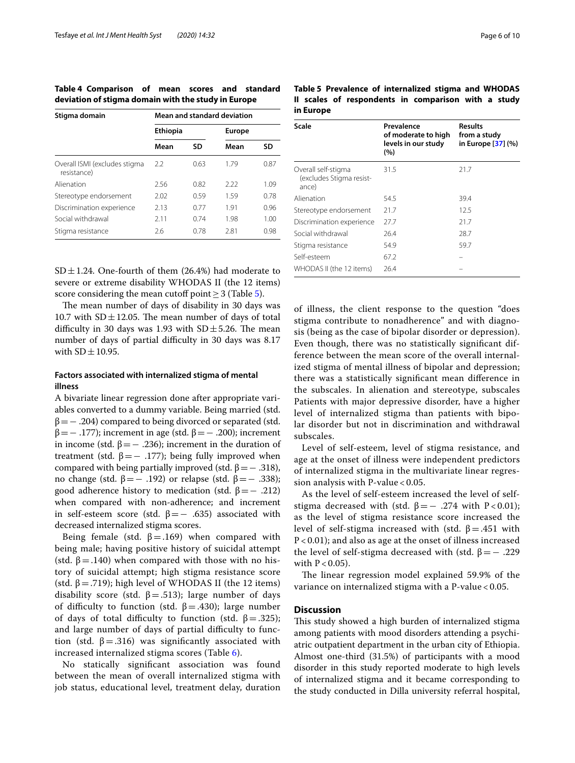<span id="page-5-0"></span>**Table 4 Comparison of mean scores and standard deviation of stigma domain with the study in Europe**

| Stigma domain                                | Mean and standard deviation |      |               |      |  |
|----------------------------------------------|-----------------------------|------|---------------|------|--|
|                                              | Ethiopia                    |      | <b>Europe</b> |      |  |
|                                              | Mean                        | SD   | Mean          | SD   |  |
| Overall ISMI (excludes stigma<br>resistance) | 2.2                         | 0.63 | 179           | 0.87 |  |
| Alienation                                   | 2.56                        | 0.82 | 2.22          | 1.09 |  |
| Stereotype endorsement                       | 2.02                        | 0.59 | 1.59          | 0.78 |  |
| Discrimination experience                    | 2.13                        | 0.77 | 1.91          | 0.96 |  |
| Social withdrawal                            | 2.11                        | 0.74 | 1.98          | 1.00 |  |
| Stigma resistance                            | 2.6                         | 0.78 | 2.81          | 0.98 |  |

 $SD \pm 1.24$ . One-fourth of them (26.4%) had moderate to severe or extreme disability WHODAS II (the 12 items) score considering the mean cutoff point  $\geq$  3 (Table [5\)](#page-5-1).

The mean number of days of disability in 30 days was 10.7 with  $SD \pm 12.05$ . The mean number of days of total difficulty in 30 days was 1.93 with  $SD \pm 5.26$ . The mean number of days of partial difficulty in 30 days was 8.17 with  $SD \pm 10.95$ .

#### **Factors associated with internalized stigma of mental illness**

A bivariate linear regression done after appropriate variables converted to a dummy variable. Being married (std.  $β = – .204$ ) compared to being divorced or separated (std.  $β=-.177$ ); increment in age (std.  $β=-.200$ ); increment in income (std. β =  $-$  .236); increment in the duration of treatment (std.  $β = -$  .177); being fully improved when compared with being partially improved (std.  $β = -0.318$ ), no change (std. β = − .192) or relapse (std. β = − .338); good adherence history to medication (std.  $β = -$  .212) when compared with non-adherence; and increment in self-esteem score (std.  $β = -$  .635) associated with decreased internalized stigma scores.

Being female (std.  $\beta = .169$ ) when compared with being male; having positive history of suicidal attempt (std.  $\beta$  = .140) when compared with those with no history of suicidal attempt; high stigma resistance score (std.  $\beta$  = .719); high level of WHODAS II (the 12 items) disability score (std.  $\beta = .513$ ); large number of days of difficulty to function (std.  $β = .430$ ); large number of days of total difficulty to function (std.  $\beta = .325$ ); and large number of days of partial difficulty to function (std.  $\beta = .316$ ) was significantly associated with increased internalized stigma scores (Table [6](#page-6-0)).

No statically signifcant association was found between the mean of overall internalized stigma with job status, educational level, treatment delay, duration

| Scale                                                    | Prevalence                                        | <b>Results</b>                     |
|----------------------------------------------------------|---------------------------------------------------|------------------------------------|
|                                                          | of moderate to high<br>levels in our study<br>(%) | from a study<br>in Europe [37] (%) |
| Overall self-stigma<br>(excludes Stigma resist-<br>ance) | 31.5                                              | 21.7                               |
| Alienation                                               | 545                                               | 39.4                               |
| Stereotype endorsement                                   | 21.7                                              | 12.5                               |
| Discrimination experience                                | 27.7                                              | 21.7                               |
| Social withdrawal                                        | 26.4                                              | 28.7                               |
| Stigma resistance                                        | 54.9                                              | 59.7                               |
| Self-esteem                                              | 67.2                                              |                                    |
| WHODAS II (the 12 items)                                 | 26.4                                              |                                    |

<span id="page-5-1"></span>**II scales of respondents in comparison with a study** 

**in Europe**

of illness, the client response to the question "does stigma contribute to nonadherence" and with diagnosis (being as the case of bipolar disorder or depression). Even though, there was no statistically signifcant difference between the mean score of the overall internalized stigma of mental illness of bipolar and depression; there was a statistically signifcant mean diference in the subscales. In alienation and stereotype, subscales Patients with major depressive disorder, have a higher level of internalized stigma than patients with bipolar disorder but not in discrimination and withdrawal subscales.

Level of self-esteem, level of stigma resistance, and age at the onset of illness were independent predictors of internalized stigma in the multivariate linear regression analysis with P-value < 0.05.

As the level of self-esteem increased the level of selfstigma decreased with (std.  $β = -0.274$  with P < 0.01); as the level of stigma resistance score increased the level of self-stigma increased with (std. β = .451 with P < 0.01); and also as age at the onset of illness increased the level of self-stigma decreased with (std.  $β = -0.229$ with  $P < 0.05$ ).

The linear regression model explained 59.9% of the variance on internalized stigma with a P-value < 0.05.

#### **Discussion**

This study showed a high burden of internalized stigma among patients with mood disorders attending a psychiatric outpatient department in the urban city of Ethiopia. Almost one-third (31.5%) of participants with a mood disorder in this study reported moderate to high levels of internalized stigma and it became corresponding to the study conducted in Dilla university referral hospital,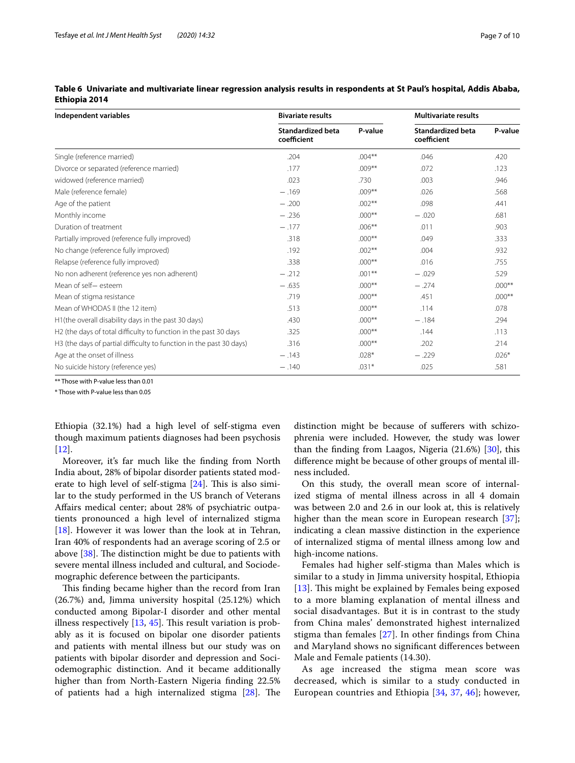| Independent variables                                               | <b>Bivariate results</b>                |           | <b>Multivariate results</b>      |          |
|---------------------------------------------------------------------|-----------------------------------------|-----------|----------------------------------|----------|
|                                                                     | <b>Standardized beta</b><br>coefficient | P-value   | Standardized beta<br>coefficient | P-value  |
| Single (reference married)                                          | .204                                    | $.004***$ | .046                             | .420     |
| Divorce or separated (reference married)                            | .177                                    | $.009**$  | .072                             | .123     |
| widowed (reference married)                                         | .023                                    | .730      | .003                             | .946     |
| Male (reference female)                                             | $-.169$                                 | $.009**$  | .026                             | .568     |
| Age of the patient                                                  | $-.200$                                 | $.002**$  | .098                             | .441     |
| Monthly income                                                      | $-.236$                                 | $.000**$  | $-.020$                          | .681     |
| Duration of treatment                                               | $-.177$                                 | $.006***$ | .011                             | .903     |
| Partially improved (reference fully improved)                       | .318                                    | $.000**$  | .049                             | .333     |
| No change (reference fully improved)                                | .192                                    | $.002**$  | .004                             | .932     |
| Relapse (reference fully improved)                                  | .338                                    | $.000**$  | .016                             | .755     |
| No non adherent (reference yes non adherent)                        | $-.212$                                 | $.001***$ | $-.029$                          | .529     |
| Mean of self-esteem                                                 | $-.635$                                 | $.000**$  | $-.274$                          | $.000**$ |
| Mean of stigma resistance                                           | .719                                    | $.000**$  | .451                             | $.000**$ |
| Mean of WHODAS II (the 12 item)                                     | .513                                    | $.000**$  | .114                             | .078     |
| H1(the overall disability days in the past 30 days)                 | .430                                    | $.000**$  | $-.184$                          | .294     |
| H2 (the days of total difficulty to function in the past 30 days    | .325                                    | $.000**$  | .144                             | .113     |
| H3 (the days of partial difficulty to function in the past 30 days) | .316                                    | $.000**$  | .202                             | .214     |
| Age at the onset of illness                                         | $-.143$                                 | $.028*$   | $-.229$                          | $.026*$  |
| No suicide history (reference yes)                                  | $-.140$                                 | $.031*$   | .025                             | .581     |

<span id="page-6-0"></span>**Table 6 Univariate and multivariate linear regression analysis results in respondents at St Paul's hospital, Addis Ababa, Ethiopia 2014**

\*\* Those with P-value less than 0.01

\* Those with P-value less than 0.05

Ethiopia (32.1%) had a high level of self-stigma even though maximum patients diagnoses had been psychosis [[12\]](#page-8-9).

Moreover, it's far much like the fnding from North India about, 28% of bipolar disorder patients stated moderate to high level of self-stigma  $[24]$  $[24]$ . This is also similar to the study performed in the US branch of Veterans Afairs medical center; about 28% of psychiatric outpatients pronounced a high level of internalized stigma [[18\]](#page-8-16). However it was lower than the look at in Tehran, Iran 40% of respondents had an average scoring of 2.5 or above  $[38]$  $[38]$ . The distinction might be due to patients with severe mental illness included and cultural, and Sociodemographic deference between the participants.

This finding became higher than the record from Iran (26.7%) and, Jimma university hospital (25.12%) which conducted among Bipolar-I disorder and other mental illness respectively  $[13, 45]$  $[13, 45]$  $[13, 45]$  $[13, 45]$ . This result variation is probably as it is focused on bipolar one disorder patients and patients with mental illness but our study was on patients with bipolar disorder and depression and Sociodemographic distinction. And it became additionally higher than from North-Eastern Nigeria fnding 22.5% of patients had a high internalized stigma  $[28]$  $[28]$ . The

distinction might be because of suferers with schizophrenia were included. However, the study was lower than the finding from Laagos, Nigeria  $(21.6%)$   $[30]$  $[30]$ , this diference might be because of other groups of mental illness included.

On this study, the overall mean score of internalized stigma of mental illness across in all 4 domain was between 2.0 and 2.6 in our look at, this is relatively higher than the mean score in European research [\[37](#page-9-5)]; indicating a clean massive distinction in the experience of internalized stigma of mental illness among low and high-income nations.

Females had higher self-stigma than Males which is similar to a study in Jimma university hospital, Ethiopia [[13](#page-8-10)]. This might be explained by Females being exposed to a more blaming explanation of mental illness and social disadvantages. But it is in contrast to the study from China males' demonstrated highest internalized stigma than females [\[27](#page-8-25)]. In other fndings from China and Maryland shows no signifcant diferences between Male and Female patients (14.30).

As age increased the stigma mean score was decreased, which is similar to a study conducted in European countries and Ethiopia [\[34](#page-9-2), [37,](#page-9-5) [46](#page-9-14)]; however,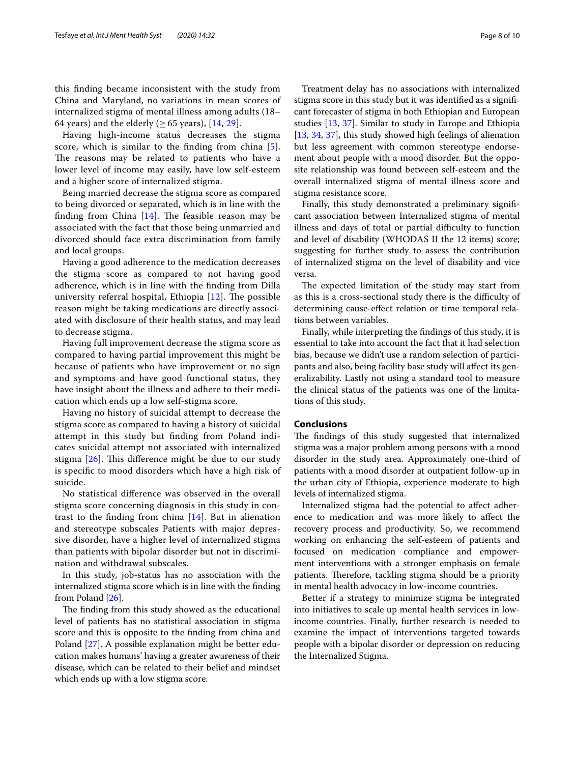this fnding became inconsistent with the study from China and Maryland, no variations in mean scores of internalized stigma of mental illness among adults (18– 64 years) and the elderly ( $\geq$  65 years), [\[14,](#page-8-11) [29\]](#page-8-26).

Having high-income status decreases the stigma score, which is similar to the finding from china [[5\]](#page-8-27). The reasons may be related to patients who have a lower level of income may easily, have low self-esteem and a higher score of internalized stigma.

Being married decrease the stigma score as compared to being divorced or separated, which is in line with the finding from China  $[14]$  $[14]$ . The feasible reason may be associated with the fact that those being unmarried and divorced should face extra discrimination from family and local groups.

Having a good adherence to the medication decreases the stigma score as compared to not having good adherence, which is in line with the fnding from Dilla university referral hospital, Ethiopia  $[12]$  $[12]$ . The possible reason might be taking medications are directly associated with disclosure of their health status, and may lead to decrease stigma.

Having full improvement decrease the stigma score as compared to having partial improvement this might be because of patients who have improvement or no sign and symptoms and have good functional status, they have insight about the illness and adhere to their medication which ends up a low self-stigma score.

Having no history of suicidal attempt to decrease the stigma score as compared to having a history of suicidal attempt in this study but fnding from Poland indicates suicidal attempt not associated with internalized stigma  $[26]$ . This difference might be due to our study is specifc to mood disorders which have a high risk of suicide.

No statistical diference was observed in the overall stigma score concerning diagnosis in this study in contrast to the finding from china  $[14]$  $[14]$ . But in alienation and stereotype subscales Patients with major depressive disorder, have a higher level of internalized stigma than patients with bipolar disorder but not in discrimination and withdrawal subscales.

In this study, job-status has no association with the internalized stigma score which is in line with the fnding from Poland [[26\]](#page-8-28).

The finding from this study showed as the educational level of patients has no statistical association in stigma score and this is opposite to the fnding from china and Poland [[27\]](#page-8-25). A possible explanation might be better education makes humans' having a greater awareness of their disease, which can be related to their belief and mindset which ends up with a low stigma score.

Treatment delay has no associations with internalized stigma score in this study but it was identifed as a signifcant forecaster of stigma in both Ethiopian and European studies [[13](#page-8-10), [37\]](#page-9-5). Similar to study in Europe and Ethiopia [[13,](#page-8-10) [34,](#page-9-2) [37\]](#page-9-5), this study showed high feelings of alienation but less agreement with common stereotype endorsement about people with a mood disorder. But the opposite relationship was found between self-esteem and the overall internalized stigma of mental illness score and stigma resistance score.

Finally, this study demonstrated a preliminary signifcant association between Internalized stigma of mental illness and days of total or partial difficulty to function and level of disability (WHODAS II the 12 items) score; suggesting for further study to assess the contribution of internalized stigma on the level of disability and vice versa.

The expected limitation of the study may start from as this is a cross-sectional study there is the difficulty of determining cause-efect relation or time temporal relations between variables.

Finally, while interpreting the fndings of this study, it is essential to take into account the fact that it had selection bias, because we didn't use a random selection of participants and also, being facility base study will afect its generalizability. Lastly not using a standard tool to measure the clinical status of the patients was one of the limitations of this study.

#### **Conclusions**

The findings of this study suggested that internalized stigma was a major problem among persons with a mood disorder in the study area. Approximately one-third of patients with a mood disorder at outpatient follow-up in the urban city of Ethiopia, experience moderate to high levels of internalized stigma.

Internalized stigma had the potential to afect adherence to medication and was more likely to afect the recovery process and productivity. So, we recommend working on enhancing the self-esteem of patients and focused on medication compliance and empowerment interventions with a stronger emphasis on female patients. Therefore, tackling stigma should be a priority in mental health advocacy in low-income countries.

Better if a strategy to minimize stigma be integrated into initiatives to scale up mental health services in lowincome countries. Finally, further research is needed to examine the impact of interventions targeted towards people with a bipolar disorder or depression on reducing the Internalized Stigma.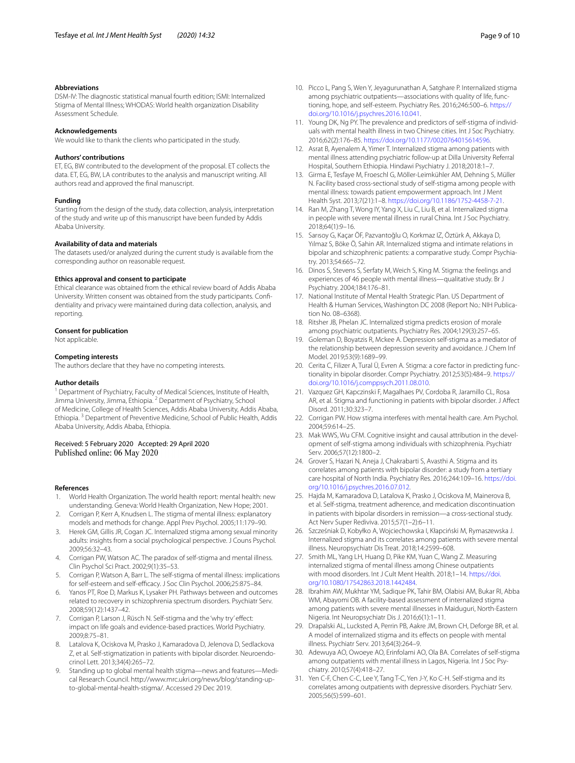#### **Abbreviations**

DSM-IV: The diagnostic statistical manual fourth edition; ISMI: Internalized Stigma of Mental Illness; WHODAS: World health organization Disability Assessment Schedule.

#### **Acknowledgements**

We would like to thank the clients who participated in the study.

#### **Authors' contributions**

ET, EG, BW contributed to the development of the proposal. ET collects the data. ET, EG, BW, LA contributes to the analysis and manuscript writing. All authors read and approved the fnal manuscript.

#### **Funding**

Starting from the design of the study, data collection, analysis, interpretation of the study and write up of this manuscript have been funded by Addis Ababa University.

#### **Availability of data and materials**

The datasets used/or analyzed during the current study is available from the corresponding author on reasonable request.

#### **Ethics approval and consent to participate**

Ethical clearance was obtained from the ethical review board of Addis Ababa University. Written consent was obtained from the study participants. Confdentiality and privacy were maintained during data collection, analysis, and reporting.

#### **Consent for publication**

Not applicable.

#### **Competing interests**

The authors declare that they have no competing interests.

#### **Author details**

<sup>1</sup> Department of Psychiatry, Faculty of Medical Sciences, Institute of Health, Jimma University, Jimma, Ethiopia. <sup>2</sup> Department of Psychiatry, School of Medicine, College of Health Sciences, Addis Ababa University, Addis Ababa, Ethiopia. 3 Department of Preventive Medicine, School of Public Health, Addis Ababa University, Addis Ababa, Ethiopia.

#### Received: 5 February 2020 Accepted: 29 April 2020 Published online: 06 May 2020

#### **References**

- <span id="page-8-0"></span>1. World Health Organization. The world health report: mental health: new understanding. Geneva: World Health Organization, New Hope; 2001.
- <span id="page-8-1"></span>2. Corrigan P, Kerr A, Knudsen L. The stigma of mental illness: explanatory models and methods for change. Appl Prev Psychol. 2005;11:179–90.
- <span id="page-8-2"></span>3. Herek GM, Gillis JR, Cogan JC. Internalized stigma among sexual minority adults: insights from a social psychological perspective. J Couns Psychol. 2009;56:32–43.
- <span id="page-8-3"></span>4. Corrigan PW, Watson AC. The paradox of self-stigma and mental illness. Clin Psychol Sci Pract. 2002;9(1):35–53.
- <span id="page-8-27"></span>5. Corrigan P, Watson A, Barr L. The self-stigma of mental illness: implications for self-esteem and self-efficacy. J Soc Clin Psychol. 2006;25:875-84.
- <span id="page-8-14"></span>6. Yanos PT, Roe D, Markus K, Lysaker PH. Pathways between and outcomes related to recovery in schizophrenia spectrum disorders. Psychiatr Serv. 2008;59(12):1437–42.
- <span id="page-8-4"></span>7. Corrigan P, Larson J, Rüsch N. Self-stigma and the 'why try' effect: impact on life goals and evidence-based practices. World Psychiatry. 2009;8:75–81.
- <span id="page-8-5"></span>8. Latalova K, Ociskova M, Prasko J, Kamaradova D, Jelenova D, Sedlackova Z, et al. Self-stigmatization in patients with bipolar disorder. Neuroendocrinol Lett. 2013;34(4):265–72.
- <span id="page-8-6"></span>9. Standing up to global mental health stigma—news and features—Medical Research Council. http://www.mrc.ukri.org/news/blog/standing-upto-global-mental-health-stigma/. Accessed 29 Dec 2019.
- <span id="page-8-8"></span><span id="page-8-7"></span>11. Young DK, Ng PY. The prevalence and predictors of self-stigma of individuals with mental health illness in two Chinese cities. Int J Soc Psychiatry. 2016;62(2):176–85. <https://doi.org/10.1177/0020764015614596>.
- <span id="page-8-9"></span>12. Asrat B, Ayenalem A, Yimer T. Internalized stigma among patients with mental illness attending psychiatric follow-up at Dilla University Referral Hospital, Southern Ethiopia. Hindawi Psychiatry J. 2018;2018:1–7.
- <span id="page-8-10"></span>13. Girma E, Tesfaye M, Froeschl G, Möller-Leimkühler AM, Dehning S, Müller N. Facility based cross-sectional study of self-stigma among people with mental illness: towards patient empowerment approach. Int J Ment Health Syst. 2013;7(21):1–8. [https://doi.org/10.1186/1752-4458-7-21.](https://doi.org/10.1186/1752-4458-7-21)
- <span id="page-8-11"></span>14. Ran M, Zhang T, Wong IY, Yang X, Liu C, Liu B, et al. Internalized stigma in people with severe mental illness in rural China. Int J Soc Psychiatry. 2018;64(1):9–16.
- <span id="page-8-12"></span>15. Sarısoy G, Kaçar ÖF, Pazvantoğlu O, Korkmaz IZ, Öztürk A, Akkaya D, Yılmaz S, Böke Ö, Sahin AR. Internalized stigma and intimate relations in bipolar and schizophrenic patients: a comparative study. Compr Psychiatry. 2013;54:665–72.
- <span id="page-8-13"></span>16. Dinos S, Stevens S, Serfaty M, Weich S, King M. Stigma: the feelings and experiences of 46 people with mental illness—qualitative study. Br J Psychiatry. 2004;184:176–81.
- <span id="page-8-15"></span>17. National Institute of Mental Health Strategic Plan. US Department of Health & Human Services, Washington DC 2008 (Report No.: NIH Publication No. 08–6368).
- <span id="page-8-16"></span>18. Ritsher JB, Phelan JC. Internalized stigma predicts erosion of morale among psychiatric outpatients. Psychiatry Res. 2004;129(3):257–65.
- <span id="page-8-17"></span>19. Goleman D, Boyatzis R, Mckee A. Depression self-stigma as a mediator of the relationship between depression severity and avoidance. J Chem Inf Model. 2019;53(9):1689–99.
- <span id="page-8-18"></span>20. Cerita C, Filizer A, Tural Ü, Evren A. Stigma: a core factor in predicting functionality in bipolar disorder. Compr Psychiatry. 2012;53(5):484–9. [https://](https://doi.org/10.1016/j.comppsych.2011.08.010) [doi.org/10.1016/j.comppsych.2011.08.010](https://doi.org/10.1016/j.comppsych.2011.08.010).
- <span id="page-8-19"></span>21. Vazquez GH, Kapczinski F, Magalhaes PV, Cordoba R, Jaramillo CL, Rosa AR, et al. Stigma and functioning in patients with bipolar disorder. J Afect Disord. 2011;30:323–7.
- <span id="page-8-20"></span>22. Corrigan PW. How stigma interferes with mental health care. Am Psychol. 2004;59:614–25.
- <span id="page-8-21"></span>23. Mak WWS, Wu CFM. Cognitive insight and causal attribution in the development of self-stigma among individuals with schizophrenia. Psychiatr Serv. 2006;57(12):1800–2.
- <span id="page-8-22"></span>24. Grover S, Hazari N, Aneja J, Chakrabarti S, Avasthi A. Stigma and its correlates among patients with bipolar disorder: a study from a tertiary care hospital of North India. Psychiatry Res. 2016;244:109–16. [https://doi.](https://doi.org/10.1016/j.psychres.2016.07.012) [org/10.1016/j.psychres.2016.07.012](https://doi.org/10.1016/j.psychres.2016.07.012).
- 25. Hajda M, Kamaradova D, Latalova K, Prasko J, Ociskova M, Mainerova B, et al. Self-stigma, treatment adherence, and medication discontinuation in patients with bipolar disorders in remission—a cross-sectional study. Act Nerv Super Rediviva. 2015;57(1–2):6–11.
- <span id="page-8-28"></span>26. Szcześniak D, Kobyłko A, Wojciechowska I, Kłapciński M, Rymaszewska J. Internalized stigma and its correlates among patients with severe mental illness. Neuropsychiatr Dis Treat. 2018;14:2599–608.
- <span id="page-8-25"></span>27. Smith ML, Yang LH, Huang D, Pike KM, Yuan C, Wang Z. Measuring internalized stigma of mental illness among Chinese outpatients with mood disorders. Int J Cult Ment Health. 2018;1–14. [https://doi.](https://doi.org/10.1080/17542863.2018.1442484) [org/10.1080/17542863.2018.1442484.](https://doi.org/10.1080/17542863.2018.1442484)
- <span id="page-8-23"></span>28. Ibrahim AW, Mukhtar YM, Sadique PK, Tahir BM, Olabisi AM, Bukar RI, Abba WM, Abayomi OB. A facility-based assessment of internalized stigma among patients with severe mental illnesses in Maiduguri, North-Eastern Nigeria. Int Neuropsychiatr Dis J. 2016;6(1):1–11.
- <span id="page-8-26"></span>29. Drapalski AL, Lucksted A, Perrin PB, Aakre JM, Brown CH, Deforge BR, et al. A model of internalized stigma and its efects on people with mental illness. Psychiatr Serv. 2013;64(3):264–9.
- <span id="page-8-24"></span>30. Adewuya AO, Owoeye AO, Erinfolami AO, Ola BA. Correlates of self-stigma among outpatients with mental illness in Lagos, Nigeria. Int J Soc Psychiatry. 2010;57(4):418–27.
- 31. Yen C-F, Chen C-C, Lee Y, Tang T-C, Yen J-Y, Ko C-H. Self-stigma and its correlates among outpatients with depressive disorders. Psychiatr Serv. 2005;56(5):599–601.